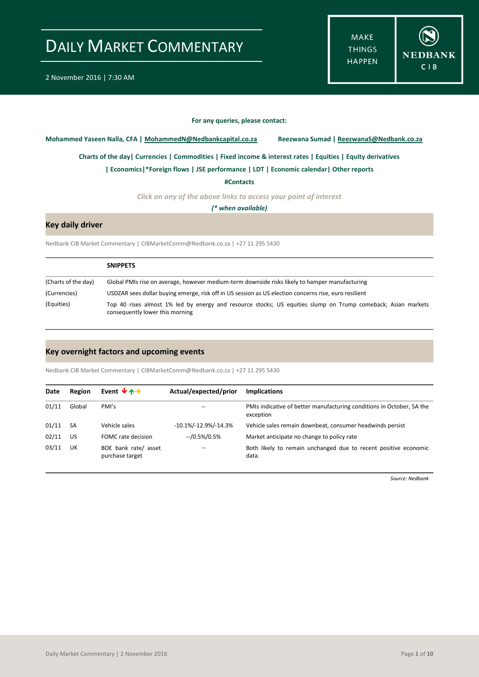**MAKE THINGS HAPPEN** 



#### **For any queries, please contact:**

<span id="page-0-0"></span>**Mohammed Yaseen Nalla, CFA | MohammedN@Nedbankcapital.co.za Reezwana Sumad | ReezwanaS@Nedbank.co.za**

**[Charts of the day|](#page-1-0) [Currencies](#page-3-0) [| Commodities](#page-4-0) | [Fixed income & interest rates](#page-5-0) [| Equities](#page-6-0) | Equity derivatives**

**| Economics|\*Foreign flows | [JSE performance](#page-7-0) | LDT [| Economic calendar|](#page-2-0) Other reports** 

**[#Contacts](#page-8-0)**

*Click on any of the above links to access your point of interest*

*(\* when available)*

### **Key daily driver**

Nedbank CIB Market Commentary | CIBMarketComm@Nedbank.co.za | +27 11 295 5430

|                     | <b>SNIPPETS</b>                                                                                                                                 |
|---------------------|-------------------------------------------------------------------------------------------------------------------------------------------------|
| (Charts of the day) | Global PMIs rise on average, however medium-term downside risks likely to hamper manufacturing                                                  |
| (Currencies)        | USDZAR sees dollar buying emerge, risk off in US session as US election concerns rise, euro resilient                                           |
| (Equities)          | Top 40 rises almost 1% led by energy and resource stocks; US equities slump on Trump comeback; Asian markets<br>consequently lower this morning |

#### **Key overnight factors and upcoming events**

Nedbank CIB Market Commentary | CIBMarketComm@Nedbank.co.za | +27 11 295 5430

| Date  | Region | Event $\forall$ $\land \rightarrow$     | Actual/expected/prior | <b>Implications</b>                                                                |
|-------|--------|-----------------------------------------|-----------------------|------------------------------------------------------------------------------------|
| 01/11 | Global | PMI's                                   | $- -$                 | PMIs indicative of better manufacturing conditions in October, SA the<br>exception |
| 01/11 | SA     | Vehicle sales                           | -10.1%/-12.9%/-14.3%  | Vehicle sales remain downbeat, consumer headwinds persist                          |
| 02/11 | US     | FOMC rate decision                      | $-$ /0.5%/0.5%        | Market anticipate no change to policy rate                                         |
| 03/11 | UK     | BOE bank rate/ asset<br>purchase target | $-$                   | Both likely to remain unchanged due to recent positive economic<br>data.           |

*Source: Nedbank*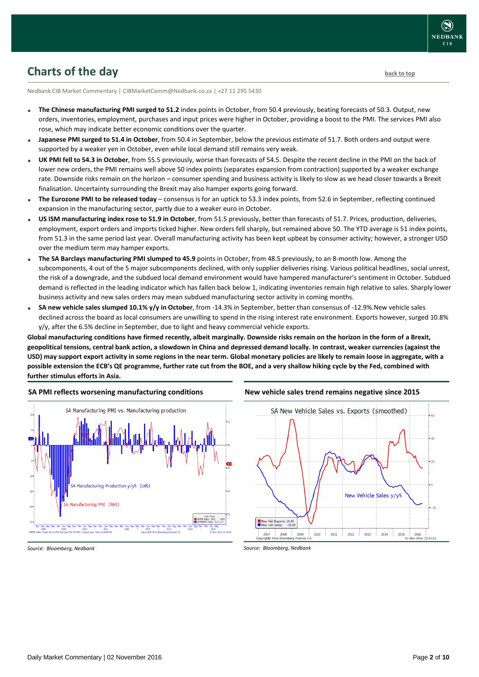

### <span id="page-1-0"></span>**Charts of the day** [back to top](#page-0-0) **back to top**

Nedbank CIB Market Commentary | CIBMarketComm@Nedbank.co.za | +27 11 295 5430

- **The Chinese manufacturing PMI surged to 51.2** index points in October, from 50.4 previously, beating forecasts of 50.3. Output, new orders, inventories, employment, purchases and input prices were higher in October, providing a boost to the PMI. The services PMI also rose, which may indicate better economic conditions over the quarter.
- **Japanese PMI surged to 51.4 in October**, from 50.4 in September, below the previous estimate of 51.7. Both orders and output were supported by a weaker yen in October, even while local demand still remains very weak.
- **UK PMI fell to 54.3 in October**, from 55.5 previously, worse than forecasts of 54.5. Despite the recent decline in the PMI on the back of lower new orders, the PMI remains well above 50 index points (separates expansion from contraction) supported by a weaker exchange rate. Downside risks remain on the horizon – consumer spending and business activity is likely to slow as we head closer towards a Brexit finalisation. Uncertainty surrounding the Brexit may also hamper exports going forward.
- **The Eurozone PMI to be released today** consensus is for an uptick to 53.3 index points, from 52.6 in September, reflecting continued expansion in the manufacturing sector, partly due to a weaker euro in October.
- **US ISM manufacturing index rose to 51.9 in October**, from 51.5 previously, better than forecasts of 51.7. Prices, production, deliveries, employment, export orders and imports ticked higher. New orders fell sharply, but remained above 50. The YTD average is 51 index points, from 51.3 in the same period last year. Overall manufacturing activity has been kept upbeat by consumer activity; however, a stronger USD over the medium term may hamper exports.
- **The SA Barclays manufacturing PMI slumped to 45.9** points in October, from 48.5 previously, to an 8-month low. Among the subcomponents, 4 out of the 5 major subcomponents declined, with only supplier deliveries rising. Various political headlines, social unrest, the risk of a downgrade, and the subdued local demand environment would have hampered manufacturer's sentiment in October. Subdued demand is reflected in the leading indicator which has fallen back below 1, indicating inventories remain high relative to sales. Sharply lower business activity and new sales orders may mean subdued manufacturing sector activity in coming months.
- **SA new vehicle sales slumped 10.1% y/y in October**, from -14.3% in September, better than consensus of -12.9%.New vehicle sales declined across the board as local consumers are unwilling to spend in the rising interest rate environment. Exports however, surged 10.8% y/y, after the 6.5% decline in September, due to light and heavy commercial vehicle exports.

**Global manufacturing conditions have firmed recently, albeit marginally. Downside risks remain on the horizon in the form of a Brexit, geopolitical tensions, central bank action, a slowdown in China and depressed demand locally. In contrast, weaker currencies (against the USD) may support export activity in some regions in the near term. Global monetary policies are likely to remain loose in aggregate, with a possible extension the ECB's QE programme, further rate cut from the BOE, and a very shallow hiking cycle by the Fed, combined with further stimulus efforts in Asia.**

# **SA PMI reflects worsening manufacturing conditions** SA Manufacturing PMI vs. Manufacturing production lanufacturing Production y/y% (LHS) lanufacturing PMI (RHS)



*Source: Bloomberg, Nedbank*

*Source: Bloomberg, Nedbank*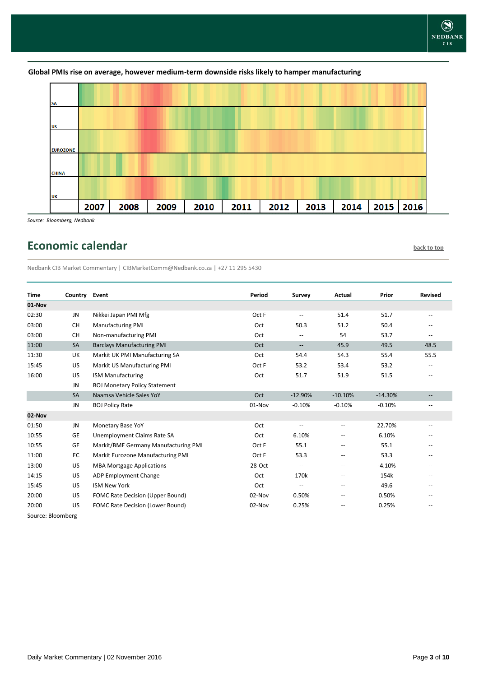

**Global PMIs rise on average, however medium-term downside risks likely to hamper manufacturing**

*Source: Bloomberg, Nedbank*

### <span id="page-2-0"></span>**Economic calendar [back to top](#page-0-0) back to top**

Nedbank CIB Market Commentary | CIBMarketComm@Nedbank.co.za | +27 11 295 5430

| <b>Time</b> | Country Event |                                      | Period | <b>Survey</b>            | Actual            | Prior     | <b>Revised</b>           |
|-------------|---------------|--------------------------------------|--------|--------------------------|-------------------|-----------|--------------------------|
| 01-Nov      |               |                                      |        |                          |                   |           |                          |
| 02:30       | JN            | Nikkei Japan PMI Mfg                 | Oct F  | $\overline{\phantom{a}}$ | 51.4              | 51.7      | --                       |
| 03:00       | <b>CH</b>     | <b>Manufacturing PMI</b>             | Oct    | 50.3                     | 51.2              | 50.4      |                          |
| 03:00       | <b>CH</b>     | Non-manufacturing PMI                | Oct    | $\overline{a}$           | 54                | 53.7      | $\overline{\phantom{a}}$ |
| 11:00       | <b>SA</b>     | <b>Barclays Manufacturing PMI</b>    | Oct    | $\overline{\phantom{m}}$ | 45.9              | 49.5      | 48.5                     |
| 11:30       | UK            | Markit UK PMI Manufacturing SA       | Oct    | 54.4                     | 54.3              | 55.4      | 55.5                     |
| 15:45       | US            | Markit US Manufacturing PMI          | Oct F  | 53.2                     | 53.4              | 53.2      | $\qquad \qquad -$        |
| 16:00       | US            | <b>ISM Manufacturing</b>             | Oct    | 51.7                     | 51.9              | 51.5      | $\qquad \qquad -$        |
|             | JN            | <b>BOJ Monetary Policy Statement</b> |        |                          |                   |           |                          |
|             | SA            | Naamsa Vehicle Sales YoY             | Oct    | $-12.90%$                | $-10.10%$         | $-14.30%$ | $\overline{\phantom{a}}$ |
|             | JN            | <b>BOJ Policy Rate</b>               | 01-Nov | $-0.10%$                 | $-0.10%$          | $-0.10%$  | $\overline{a}$           |
| 02-Nov      |               |                                      |        |                          |                   |           |                          |
| 01:50       | JN            | Monetary Base YoY                    | Oct    | $\overline{\phantom{m}}$ | --                | 22.70%    | $-$                      |
| 10:55       | <b>GE</b>     | Unemployment Claims Rate SA          | Oct    | 6.10%                    | $\qquad \qquad -$ | 6.10%     | $\qquad \qquad -$        |
| 10:55       | GE            | Markit/BME Germany Manufacturing PMI | Oct F  | 55.1                     | $\qquad \qquad -$ | 55.1      | $\qquad \qquad -$        |
| 11:00       | EC            | Markit Eurozone Manufacturing PMI    | Oct F  | 53.3                     | $\qquad \qquad -$ | 53.3      | $\qquad \qquad -$        |
| 13:00       | US            | <b>MBA Mortgage Applications</b>     | 28-Oct | $\overline{\phantom{a}}$ | $\qquad \qquad -$ | $-4.10%$  | $\qquad \qquad -$        |
| 14:15       | US            | <b>ADP Employment Change</b>         | Oct    | 170k                     | $\qquad \qquad -$ | 154k      | $\overline{\phantom{a}}$ |
| 15:45       | US.           | <b>ISM New York</b>                  | Oct    | --                       | $\qquad \qquad -$ | 49.6      | $\qquad \qquad -$        |
| 20:00       | US            | FOMC Rate Decision (Upper Bound)     | 02-Nov | 0.50%                    | --                | 0.50%     |                          |
| 20:00       | US            | FOMC Rate Decision (Lower Bound)     | 02-Nov | 0.25%                    |                   | 0.25%     |                          |
|             |               |                                      |        |                          |                   |           |                          |

Source: Bloomberg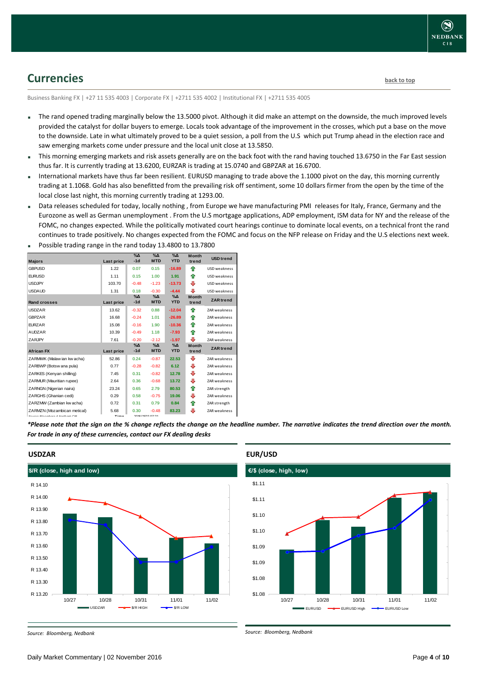### <span id="page-3-0"></span>**Currencies [back to top](#page-0-0)**

Business Banking FX | +27 11 535 4003 | Corporate FX | +2711 535 4002 | Institutional FX | +2711 535 4005

- The rand opened trading marginally below the 13.5000 pivot. Although it did make an attempt on the downside, the much improved levels provided the catalyst for dollar buyers to emerge. Locals took advantage of the improvement in the crosses, which put a base on the move to the downside. Late in what ultimately proved to be a quiet session, a poll from the U.S which put Trump ahead in the election race and saw emerging markets come under pressure and the local unit close at 13.5850.
- This morning emerging markets and risk assets generally are on the back foot with the rand having touched 13.6750 in the Far East session thus far. It is currently trading at 13.6200, EURZAR is trading at 15.0740 and GBPZAR at 16.6700.
- International markets have thus far been resilient. EURUSD managing to trade above the 1.1000 pivot on the day, this morning currently trading at 1.1068. Gold has also benefitted from the prevailing risk off sentiment, some 10 dollars firmer from the open by the time of the local close last night, this morning currently trading at 1293.00.
- Data releases scheduled for today, locally nothing , from Europe we have manufacturing PMI releases for Italy, France, Germany and the Eurozone as well as German unemployment . From the U.S mortgage applications, ADP employment, ISM data for NY and the release of the FOMC, no changes expected. While the politically motivated court hearings continue to dominate local events, on a technical front the rand continues to trade positively. No changes expected from the FOMC and focus on the NFP release on Friday and the U.S elections next week.

|                                                                        |                   | $\sqrt{2}$          | $\Delta_0$             | $\%$ $\Delta$          | <b>Month</b>          |                     |
|------------------------------------------------------------------------|-------------------|---------------------|------------------------|------------------------|-----------------------|---------------------|
| <b>Majors</b>                                                          | Last price        | $-1d$               | <b>MTD</b>             | <b>YTD</b>             | trend                 | <b>USD</b> trend    |
| <b>GBPUSD</b>                                                          | 1.22              | 0.07                | 0.15                   | $-16.89$               | ⇑                     | USD weakness        |
| <b>EURUSD</b>                                                          | 1.11              | 0.15                | 1.00                   | 1.91                   | ⇑                     | USD weakness        |
| <b>USDJPY</b>                                                          | 103.70            | $-0.48$             | $-1.23$                | $-13.73$               | ⊕                     | USD weakness        |
| <b>USDAUD</b>                                                          | 1.31              | 0.18                | $-0.30$                | $-4.44$                | Ф                     | USD weakness        |
| <b>Rand crosses</b>                                                    | <b>Last price</b> | $% \Delta$<br>$-1d$ | %Д<br><b>MTD</b>       | $\Delta$<br><b>YTD</b> | <b>Month</b><br>trend | <b>ZAR</b> trend    |
| <b>USDZAR</b>                                                          | 13.62             | $-0.32$             | 0.88                   | $-12.04$               | ⇑                     | ZAR weakness        |
| GBPZAR                                                                 | 16.68             | $-0.24$             | 1.01                   | $-26.89$               | ⇑                     | ZAR weakness        |
| <b>FURZAR</b>                                                          | 15.08             | $-0.16$             | 1.90                   | $-10.36$               | ⇑                     | ZAR weakness        |
| <b>AUDZAR</b>                                                          | 10.39             | $-0.49$             | 1.18                   | $-7.93$                | ♠                     | ZAR weakness        |
| ZARJPY                                                                 | 7.61              | $-0.20$             | $-2.12$                | $-1.97$                | Ф                     | ZAR weakness        |
| <b>African FX</b>                                                      | <b>Last price</b> | $% \Delta$<br>$-1d$ | $\Delta$<br><b>MTD</b> | $\Delta$<br><b>YTD</b> | <b>Month</b><br>trend | <b>ZAR</b> trend    |
| ZARMWK (Malaw ian kw acha)                                             | 52.86             | 0.24                | $-0.87$                | 22.53                  | ⊕                     | ZAR weakness        |
| ZARBWP (Botsw ana pula)                                                | 0.77              | $-0.28$             | $-0.82$                | 6.12                   | ⊕                     | ZAR weakness        |
|                                                                        |                   |                     |                        |                        |                       |                     |
| ZARKES (Kenyan shilling)                                               | 7.45              | 0.31                | $-0.82$                | 12.78                  | ⊕                     | ZAR weakness        |
| ZARMUR (Mauritian rupee)                                               | 2.64              | 0.36                | $-0.68$                | 13.72                  | ⊕                     | ZAR weakness        |
| ZARNGN (Nigerian naira)                                                | 23.24             | 0.65                | 2.79                   | 80.53                  | ⇑                     | ZAR strength        |
| ZARGHS (Ghanian cedi)                                                  | 0.29              | 0.58                | $-0.75$                | 19.06                  | ⊕                     | <b>ZAR</b> weakness |
| ZARZMW (Zambian kw acha)                                               | 0.72              | 0.31                | 0.79                   | 0.84                   | ⇑                     | ZAR strength        |
| ZARMZN (Mozambican metical)                                            | 5.68              | 0.30                | $-0.48$                | 83.23                  | ⊕                     | ZAR weakness        |
| Correspondent Characteristics Canada And Character Character Character | <b>Time</b>       |                     | 2010/14/02 07:21       |                        |                       |                     |

Possible trading range in the rand today 13.4800 to 13.7800

*\*Please note that the sign on the % change reflects the change on the headline number. The narrative indicates the trend direction over the month. For trade in any of these currencies, contact our FX dealing desks*



### **USDZAR**

*Source: Bloomberg, Nedbank*



#### **EUR/USD**

*Source: Bloomberg, Nedbank*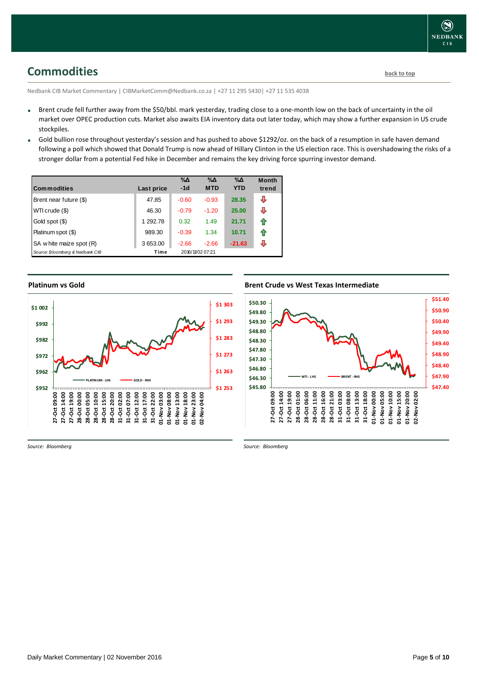### <span id="page-4-0"></span>**Commodities [back to top](#page-0-0)**

Nedbank CIB Market Commentary | CIBMarketComm@Nedbank.co.za | +27 11 295 5430| +27 11 535 4038

- Brent crude fell further away from the \$50/bbl. mark yesterday, trading close to a one-month low on the back of uncertainty in the oil market over OPEC production cuts. Market also awaits EIA inventory data out later today, which may show a further expansion in US crude stockpiles.
- Gold bullion rose throughout yesterday's session and has pushed to above \$1292/oz. on the back of a resumption in safe haven demand following a poll which showed that Donald Trump is now ahead of Hillary Clinton in the US election race. This is overshadowing the risks of a stronger dollar from a potential Fed hike in December and remains the key driving force spurring investor demand.

| <b>Commodities</b>              | Last price | $\% \Delta$<br>$-1d$ | %Δ<br><b>MTD</b> | $\% \Delta$<br><b>YTD</b> | <b>Month</b><br>trend |
|---------------------------------|------------|----------------------|------------------|---------------------------|-----------------------|
| Brent near future (\$)          | 47.85      | $-0.60$              | $-0.93$          | 28.35                     | J                     |
| WTI crude (\$)                  | 46.30      | $-0.79$              | $-1.20$          | 25.00                     | J                     |
| Gold spot (\$)                  | 1 292.78   | 0.32                 | 1.49             | 21.71                     |                       |
| Platinum spot (\$)              | 989.30     | $-0.39$              | 1.34             | 10.71                     | ⇑                     |
| SA w hite maize spot (R)        | 3653.00    | $-2.66$              | $-2.66$          | $-21.63$                  | л                     |
| Source: Bloomberg & Nedbank CIB | Time       |                      | 2016/11/02 07:21 |                           |                       |

### **Platinum vs Gold Platinum vs. Gold**



**Brent Crude vs West Texas Intermediate Brent Crude vs West Texas Intermediate** 



*Source: Bloomberg*

*Source: Bloomberg*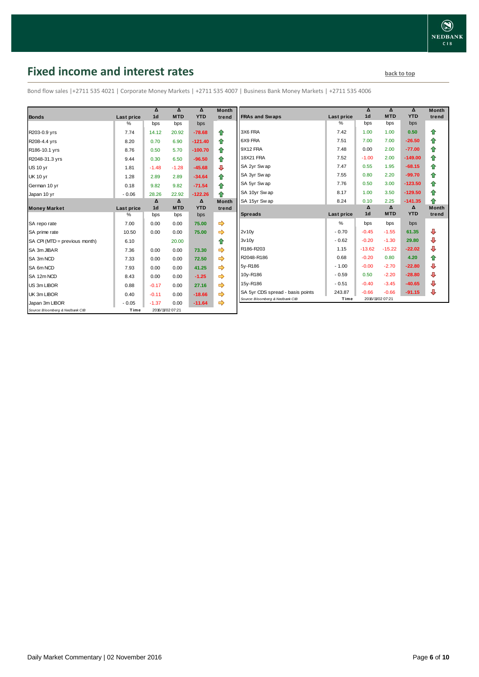### <span id="page-5-0"></span>**Fixed income and interest rates back to the line of the set of the set of the set of the set of the set of the set of the set of the set of the set of the set of the set of the set of the set of the set of the set of th**

Bond flow sales |+2711 535 4021 | Corporate Money Markets | +2711 535 4007 | Business Bank Money Markets | +2711 535 4006

|                                 |            | Δ              | Δ                | Δ<br><b>YTD</b> | <b>Month</b> |
|---------------------------------|------------|----------------|------------------|-----------------|--------------|
| <b>Bonds</b>                    | Last price | 1 <sub>d</sub> | <b>MTD</b>       |                 | trend        |
|                                 | %          | bps            | bps              | bps             |              |
| R203-0.9 yrs                    | 7.74       | 14.12          | 20.92            | $-78.68$        | ⇑            |
| R208-4.4 yrs                    | 8.20       | 0.70           | 6.90             | $-121.40$       | 合            |
| R186-10.1 yrs                   | 8.76       | 0.50           | 5.70             | $-100.70$       | ⇮            |
| R2048-31.3 yrs                  | 9.44       | 0.30           | 6.50             | $-96.50$        | ⇮            |
| <b>US 10 yr</b>                 | 1.81       | $-1.48$        | $-1.28$          | $-45.68$        | ⊕            |
| <b>UK 10 yr</b>                 | 1.28       | 2.89           | 2.89             | $-34.64$        | ⇑            |
| German 10 yr                    | 0.18       | 9.82           | 9.82             | $-71.54$        | ⇮            |
| Japan 10 yr                     | $-0.06$    | 28.26          | 22.92            | $-122.26$       | 全            |
|                                 |            | Δ              | Δ                | Δ               | <b>Month</b> |
| <b>Money Market</b>             | Last price | 1 <sub>d</sub> | <b>MTD</b>       | <b>YTD</b>      | trend        |
|                                 | ℅          | bps            | bps              | bps             |              |
| SA repo rate                    | 7.00       | 0.00           | 0.00             | 75.00           | ⇛            |
| SA prime rate                   | 10.50      | 0.00           | 0.00             | 75.00           |              |
| SA CPI (MTD = previous month)   | 6.10       |                | 20.00            |                 | ⇑            |
| SA 3m JIBAR                     | 7.36       | 0.00           | 0.00             | 73.30           |              |
| SA 3m NCD                       | 7.33       | 0.00           | 0.00             | 72.50           |              |
| SA 6m NCD                       | 7.93       | 0.00           | 0.00             | 41.25           |              |
| SA 12m NCD                      | 8.43       | 0.00           | 0.00             | $-1.25$         |              |
| US 3m LIBOR                     | 0.88       | $-0.17$        | 0.00             | 27.16           |              |
| UK 3m LIBOR                     | 0.40       | $-0.11$        | 0.00             | $-18.66$        |              |
| Japan 3m LIBOR                  | $-0.05$    | $-1.37$        | 0.00             | $-11.64$        |              |
| Source: Bloomberg & Nedbank CIB | Time       |                | 2016/11/02 07:21 |                 |              |

| Month<br>trend |                                  | Last price    | Δ<br>1 <sub>d</sub> | Δ<br><b>MTD</b> | Δ<br><b>YTD</b> | <b>Month</b><br>trend |
|----------------|----------------------------------|---------------|---------------------|-----------------|-----------------|-----------------------|
|                | <b>FRAs and Swaps</b>            | $\%$          | bps                 | bps             | bps             |                       |
| ⇮              | 3X6 FRA                          | 7.42          | 1.00                | 1.00            | 0.50            | ⇑                     |
| ✿              | 6X9 FRA                          | 7.51          | 7.00                | 7.00            | $-26.50$        | ⇮                     |
| ⇮              | 9X12 FRA                         | 7.48          | 0.00                | 2.00            | $-77.00$        | 合                     |
| 合              | 18X21 FRA                        | 7.52          | $-1.00$             | 2.00            | $-149.00$       | 合                     |
| ⊕              | SA 2yr Sw ap                     | 7.47          | 0.55                | 1.95            | $-68.15$        | 合                     |
| ⇮              | SA 3yr Swap                      | 7.55          | 0.80                | 2.20            | $-99.70$        | 合                     |
| 合              | SA 5yr Swap                      | 7.76          | 0.50                | 3.00            | $-123.50$       | ⇑                     |
| 合              | SA 10yr Swap                     | 8.17          | 1.00                | 3.50            | $-129.50$       | 合                     |
| Month          | SA 15yr Swap                     | 8.24          | 0.10                | 2.25            | $-141.35$       | ♠                     |
|                |                                  |               |                     |                 |                 |                       |
| trend          |                                  |               | Δ                   | Δ               | Δ               | <b>Month</b>          |
|                | <b>Spreads</b>                   | Last price    | 1 <sub>d</sub>      | <b>MTD</b>      | <b>YTD</b>      | trend                 |
|                |                                  | $\frac{9}{6}$ | bps                 | bps             | bps             |                       |
| ⇛<br>⇛         | 2v10v                            | $-0.70$       | $-0.45$             | $-1.55$         | 61.35           | ⊕                     |
| ⇑              | 3v10v                            | $-0.62$       | $-0.20$             | $-1.30$         | 29.80           | ⊕                     |
| ⇛              | R186-R203                        | 1.15          | $-13.62$            | $-15.22$        | $-22.02$        | ⊕                     |
| ⇛              | R2048-R186                       | 0.68          | $-0.20$             | 0.80            | 4.20            | 合                     |
|                | 5y-R186                          | $-1.00$       | $-0.00$             | $-2.70$         | $-22.80$        | ⊕                     |
| ⇛              | 10y-R186                         | $-0.59$       | 0.50                | $-2.20$         | $-28.80$        | ⊕                     |
|                | 15y-R186                         | $-0.51$       | $-0.40$             | $-3.45$         | $-40.65$        | ⊕                     |
| ⇛<br>          | SA 5yr CDS spread - basis points | 243.87        | $-0.66$             | $-0.66$         | $-91.15$        | ⊕                     |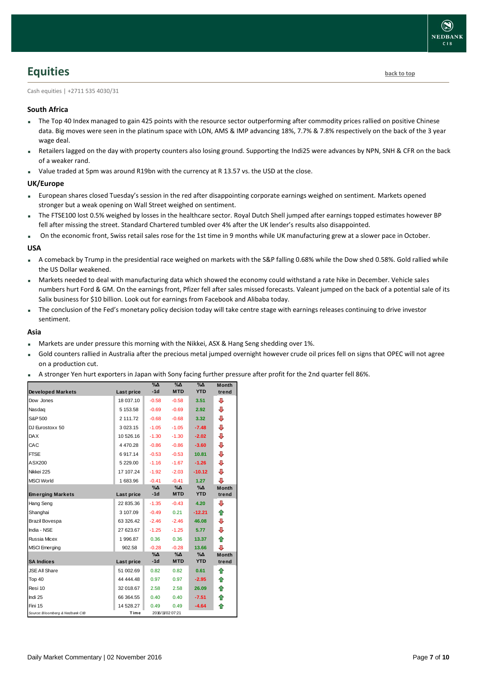### <span id="page-6-0"></span>**Equities [back to top](#page-0-0)**

Cash equities | +2711 535 4030/31

#### **South Africa**

- The Top 40 Index managed to gain 425 points with the resource sector outperforming after commodity prices rallied on positive Chinese data. Big moves were seen in the platinum space with LON, AMS & IMP advancing 18%, 7.7% & 7.8% respectively on the back of the 3 year wage deal.
- Retailers lagged on the day with property counters also losing ground. Supporting the Indi25 were advances by NPN, SNH & CFR on the back of a weaker rand.
- Value traded at 5pm was around R19bn with the currency at R 13.57 vs. the USD at the close.

#### **UK/Europe**

- European shares closed Tuesday's session in the red after disappointing corporate earnings weighed on sentiment. Markets opened stronger but a weak opening on Wall Street weighed on sentiment.
- The FTSE100 lost 0.5% weighed by losses in the healthcare sector. Royal Dutch Shell jumped after earnings topped estimates however BP fell after missing the street. Standard Chartered tumbled over 4% after the UK lender's results also disappointed.
- On the economic front, Swiss retail sales rose for the 1st time in 9 months while UK manufacturing grew at a slower pace in October.

#### **USA**

- A comeback by Trump in the presidential race weighed on markets with the S&P falling 0.68% while the Dow shed 0.58%. Gold rallied while the US Dollar weakened.
- Markets needed to deal with manufacturing data which showed the economy could withstand a rate hike in December. Vehicle sales numbers hurt Ford & GM. On the earnings front, Pfizer fell after sales missed forecasts. Valeant jumped on the back of a potential sale of its Salix business for \$10 billion. Look out for earnings from Facebook and Alibaba today.
- The conclusion of the Fed's monetary policy decision today will take centre stage with earnings releases continuing to drive investor sentiment.

#### **Asia**

- Markets are under pressure this morning with the Nikkei, ASX & Hang Seng shedding over 1%.
- Gold counters rallied in Australia after the precious metal jumped overnight however crude oil prices fell on signs that OPEC will not agree on a production cut.
- A stronger Yen hurt exporters in Japan with Sony facing further pressure after profit for the 2nd quarter fell 86%.

| <b>Developed Markets</b>        | Last price    | $\% \Delta$<br>$-1d$ | %Δ<br><b>MTD</b> | %Δ<br><b>YTD</b> | <b>Month</b><br>trend |
|---------------------------------|---------------|----------------------|------------------|------------------|-----------------------|
| Dow Jones                       | 18 037.10     | $-0.58$              | $-0.58$          | 3.51             | ⊕                     |
| Nasdag                          | 5 153.58      | $-0.69$              | $-0.69$          | 2.92             | ⊕                     |
| S&P 500                         | 2 111.72      | $-0.68$              | $-0.68$          | 3.32             | ⊕                     |
| DJ Eurostoxx 50                 | 3 0 2 3 . 1 5 | $-1.05$              | $-1.05$          | $-7.48$          | ⊕                     |
| <b>DAX</b>                      | 10 526.16     | $-1.30$              | $-1.30$          | $-2.02$          | ⊕                     |
| CAC                             | 4470.28       | $-0.86$              | $-0.86$          | $-3.60$          | ⊕                     |
| <b>FTSE</b>                     | 6917.14       | $-0.53$              | $-0.53$          | 10.81            | ⊕                     |
| ASX200                          | 5 229.00      | $-1.16$              | $-1.67$          | $-1.26$          | ⊕                     |
| Nikkei 225                      | 17 107.24     | $-1.92$              | $-2.03$          | $-10.12$         | ⊕                     |
| <b>MSCI World</b>               | 1 683.96      | $-0.41$              | $-0.41$          | 1.27             | ⊕                     |
|                                 |               | $\% \Delta$<br>$-1d$ | %Д<br><b>MTD</b> | %Δ<br><b>YTD</b> | <b>Month</b>          |
| <b>Emerging Markets</b>         | Last price    |                      |                  |                  | trend                 |
| Hang Seng                       | 22 835.36     | $-1.35$              | $-0.43$          | 4.20             | ⊕                     |
| Shanghai                        | 3 107.09      | $-0.49$              | 0.21             | $-12.21$         | ⇑                     |
| Brazil Bovespa                  | 63 326.42     | $-2.46$              | $-2.46$          | 46.08            | ⊕                     |
| India - NSE                     | 27 623.67     | $-1.25$              | $-1.25$          | 5.77             | ⇩                     |
| Russia Micex                    | 1996.87       | 0.36                 | 0.36             | 13.37            | ⇑                     |
| <b>MSCI Emerging</b>            | 902.58        | $-0.28$              | $-0.28$          | 13.66            | ⊕                     |
|                                 |               | %Δ                   | %Д               | %Δ               | <b>Month</b>          |
| <b>SA Indices</b>               | Last price    | $-1d$                | <b>MTD</b>       | <b>YTD</b>       | trend                 |
| <b>JSE All Share</b>            | 51 002.69     | 0.82                 | 0.82             | 0.61             | ⇮                     |
| Top 40                          | 44 444.48     | 0.97                 | 0.97             | $-2.95$          | ⇑                     |
| Resi 10                         | 32 018.67     | 2.58                 | 2.58             | 26.09            | ⇮                     |
| Indi 25                         | 66 364.55     | 0.40                 | 0.40             | $-7.51$          | ⇑                     |
| Fini 15                         | 14 528.27     | 0.49                 | 0.49             | $-4.64$          | ♠                     |
| Source: Bloomberg & Nedbank CIB | Time          |                      | 2016/11/02 07:21 |                  |                       |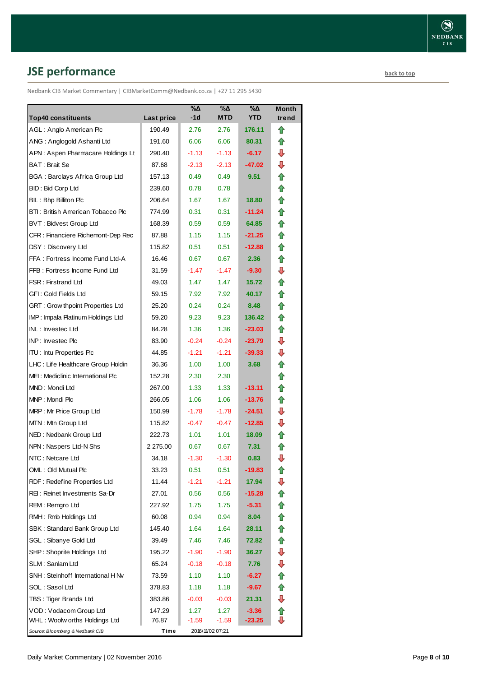## <span id="page-7-0"></span>**JSE performance [back to top](#page-0-0)**

Nedbank CIB Market Commentary | CIBMarketComm@Nedbank.co.za | +27 11 295 5430

|                                       |            | %Δ      | %Δ               | %Δ<br><b>YTD</b> | Month |
|---------------------------------------|------------|---------|------------------|------------------|-------|
| <b>Top40 constituents</b>             | Last price | $-1d$   | <b>MTD</b>       |                  | trend |
| AGL: Anglo American Plc               | 190.49     | 2.76    | 2.76             | 176.11           | ⇑     |
| ANG: Anglogold Ashanti Ltd            | 191.60     | 6.06    | 6.06             | 80.31            | ⇑     |
| APN: Aspen Pharmacare Holdings Lt     | 290.40     | $-1.13$ | $-1.13$          | $-6.17$          | ⊕     |
| BAT: Brait Se                         | 87.68      | $-2.13$ | $-2.13$          | -47.02           | ⇩     |
| <b>BGA: Barclays Africa Group Ltd</b> | 157.13     | 0.49    | 0.49             | 9.51             | ⇮     |
| <b>BID: Bid Corp Ltd</b>              | 239.60     | 0.78    | 0.78             |                  | ⇑     |
| BIL: Bhp Billiton Plc                 | 206.64     | 1.67    | 1.67             | 18.80            | ⇑     |
| BTI: British American Tobacco Plc     | 774.99     | 0.31    | 0.31             | $-11.24$         | ✿     |
| <b>BVT: Bidvest Group Ltd</b>         | 168.39     | 0.59    | 0.59             | 64.85            | ✿     |
| CFR : Financiere Richemont-Dep Rec    | 87.88      | 1.15    | 1.15             | $-21.25$         | ⇑     |
| DSY: Discovery Ltd                    | 115.82     | 0.51    | 0.51             | $-12.88$         | 合     |
| FFA: Fortress Income Fund Ltd-A       | 16.46      | 0.67    | 0.67             | 2.36             | ⇑     |
| FFB: Fortress Income Fund Ltd         | 31.59      | $-1.47$ | $-1.47$          | $-9.30$          | ⇩     |
| <b>FSR: Firstrand Ltd</b>             | 49.03      | 1.47    | 1.47             | 15.72            | ⇧     |
| GFI: Gold Fields Ltd                  | 59.15      | 7.92    | 7.92             | 40.17            | ✿     |
| GRT : Grow thpoint Properties Ltd     | 25.20      | 0.24    | 0.24             | 8.48             | ✿     |
| IMP: Impala Platinum Holdings Ltd     | 59.20      | 9.23    | 9.23             | 136.42           | ✿     |
| INL: Investec Ltd                     | 84.28      | 1.36    | 1.36             | $-23.03$         | ✿     |
| INP: Investec Plc                     | 83.90      | $-0.24$ | $-0.24$          | $-23.79$         | ⇩     |
| <b>ITU: Intu Properties Plc</b>       | 44.85      | $-1.21$ | $-1.21$          | $-39.33$         | ⊕     |
| LHC: Life Healthcare Group Holdin     | 36.36      | 1.00    | 1.00             | 3.68             | 合     |
| MEI: Mediclinic International Plc     | 152.28     | 2.30    | 2.30             |                  | ⇑     |
| MND: Mondi Ltd                        | 267.00     | 1.33    | 1.33             | $-13.11$         | 合     |
| MNP: Mondi Plc                        | 266.05     | 1.06    | 1.06             | -13.76           | ⇑     |
| MRP: Mr Price Group Ltd               | 150.99     | $-1.78$ | $-1.78$          | $-24.51$         | ⊕     |
| MTN: Mtn Group Ltd                    | 115.82     | $-0.47$ | $-0.47$          | $-12.85$         | ⇩     |
| NED: Nedbank Group Ltd                | 222.73     | 1.01    | 1.01             | 18.09            | ⇑     |
| NPN: Naspers Ltd-N Shs                | 2 275.00   | 0.67    | 0.67             | 7.31             | ⇑     |
| NTC: Netcare Ltd                      | 34.18      | $-1.30$ | $-1.30$          | 0.83             | ⇩     |
| OML: Old Mutual Plc                   | 33.23      | 0.51    | 0.51             | $-19.83$         | €     |
| RDF: Redefine Properties Ltd          | 11.44      | $-1.21$ | $-1.21$          | 17.94            | ⇩     |
| REI: Reinet Investments Sa-Dr         | 27.01      | 0.56    | 0.56             | $-15.28$         | ⇑     |
| REM: Remgro Ltd                       | 227.92     | 1.75    | 1.75             | $-5.31$          | ⇑     |
| RMH: Rmb Holdings Ltd                 | 60.08      | 0.94    | 0.94             | 8.04             | ⇑     |
| SBK: Standard Bank Group Ltd          | 145.40     | 1.64    | 1.64             | 28.11            | ⇑     |
| SGL : Sibanye Gold Ltd                | 39.49      | 7.46    | 7.46             | 72.82            | ✿     |
| SHP: Shoprite Holdings Ltd            | 195.22     | $-1.90$ | $-1.90$          | 36.27            | ⊕     |
| SLM: Sanlam Ltd                       | 65.24      | $-0.18$ | $-0.18$          | 7.76             | ⇩     |
| SNH: Steinhoff International H Nv     | 73.59      | 1.10    | 1.10             | $-6.27$          | 合     |
| SOL: Sasol Ltd                        | 378.83     | 1.18    | 1.18             | $-9.67$          | ⇮     |
| TBS: Tiger Brands Ltd                 | 383.86     | $-0.03$ | $-0.03$          | 21.31            | ⊕     |
| VOD: Vodacom Group Ltd                | 147.29     | 1.27    | 1.27             | $-3.36$          | ⇑     |
| WHL: Woolw orths Holdings Ltd         | 76.87      | $-1.59$ | $-1.59$          | -23.25           | ⊕     |
| Source: Bloomberg & Nedbank CIB       | Time       |         | 2016/11/02 07:21 |                  |       |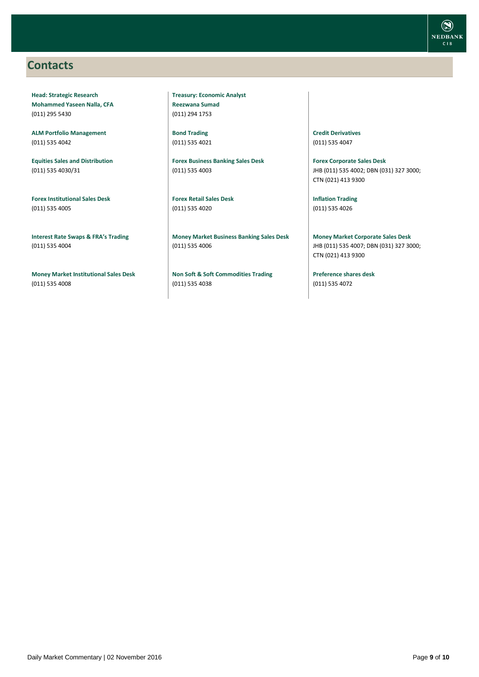### <span id="page-8-0"></span>**Contacts**

**Head: Strategic Research Mohammed Yaseen Nalla, CFA** (011) 295 5430

**ALM Portfolio Management** (011) 535 4042

**Equities Sales and Distribution** (011) 535 4030/31

**Forex Institutional Sales Desk** (011) 535 4005

**Interest Rate Swaps & FRA's Trading** (011) 535 4004

**Money Market Institutional Sales Desk** (011) 535 4008

**Treasury: Economic Analyst Reezwana Sumad** (011) 294 1753

**Bond Trading** (011) 535 4021

**Forex Business Banking Sales Desk** (011) 535 4003

**Forex Retail Sales Desk** (011) 535 4020

**Money Market Business Banking Sales Desk** (011) 535 4006

**Non Soft & Soft Commodities Trading** (011) 535 4038

**Credit Derivatives**  (011) 535 4047

**Forex Corporate Sales Desk** JHB (011) 535 4002; DBN (031) 327 3000; CTN (021) 413 9300

**Inflation Trading** (011) 535 4026

**Money Market Corporate Sales Desk** JHB (011) 535 4007; DBN (031) 327 3000; CTN (021) 413 9300

**Preference shares desk** (011) 535 4072